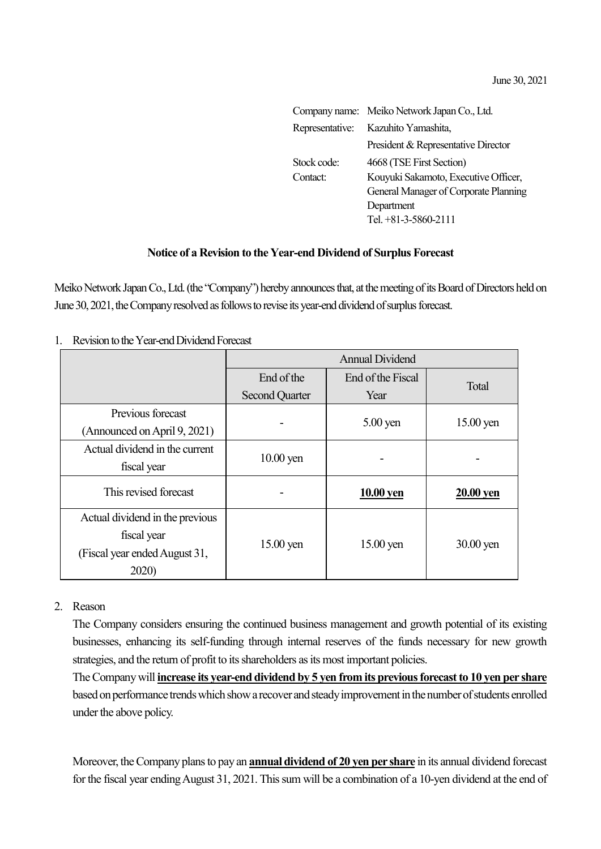|             | Company name: Meiko Network Japan Co., Ltd. |  |  |
|-------------|---------------------------------------------|--|--|
|             | Representative: Kazuhito Yamashita,         |  |  |
|             | President & Representative Director         |  |  |
| Stock code: | 4668 (TSE First Section)                    |  |  |
| Contact:    | Kouyuki Sakamoto, Executive Officer,        |  |  |
|             | General Manager of Corporate Planning       |  |  |
|             | Department                                  |  |  |
|             | Tel. +81-3-5860-2111                        |  |  |
|             |                                             |  |  |

## **Notice of a Revision to the Year-end Dividend of Surplus Forecast**

Meiko Network Japan Co., Ltd. (the "Company") hereby announces that, at the meeting of its Board of Directors held on June 30, 2021, the Company resolved as follows to revise its year-end dividend of surplus forecast.

1. Revision to the Year-end Dividend Forecast

|                                 | <b>Annual Dividend</b> |                       |                  |
|---------------------------------|------------------------|-----------------------|------------------|
|                                 | End of the             | End of the Fiscal     |                  |
|                                 | <b>Second Quarter</b>  | Year                  | <b>Total</b>     |
| Previous forecast               |                        | $5.00 \,\mathrm{yen}$ | $15.00$ yen      |
| (Announced on April 9, 2021)    |                        |                       |                  |
| Actual dividend in the current  |                        |                       |                  |
| fiscal year                     | $10.00$ yen            |                       |                  |
| This revised forecast           |                        | 10.00 yen             | <b>20.00 yen</b> |
| Actual dividend in the previous | $15.00$ yen            | $15.00$ yen           | $30.00$ yen      |
| fiscal year                     |                        |                       |                  |
| (Fiscal year ended August 31,   |                        |                       |                  |
| 2020)                           |                        |                       |                  |

## 2. Reason

The Company considers ensuring the continued business management and growth potential of its existing businesses, enhancing its self-funding through internal reserves of the funds necessary for new growth strategies, and the return of profit to its shareholders as its most important policies.

The Company will **increase its year-end dividend by 5 yen from its previous forecast to 10 yen per share** based on performance trends which show a recover and steady improvement in the number of students enrolled under the above policy.

Moreover, the Company plans to pay an **annual dividend of 20 yen per share** in its annual dividend forecast for the fiscal year ending August 31, 2021. This sum will be a combination of a 10-yen dividend at the end of